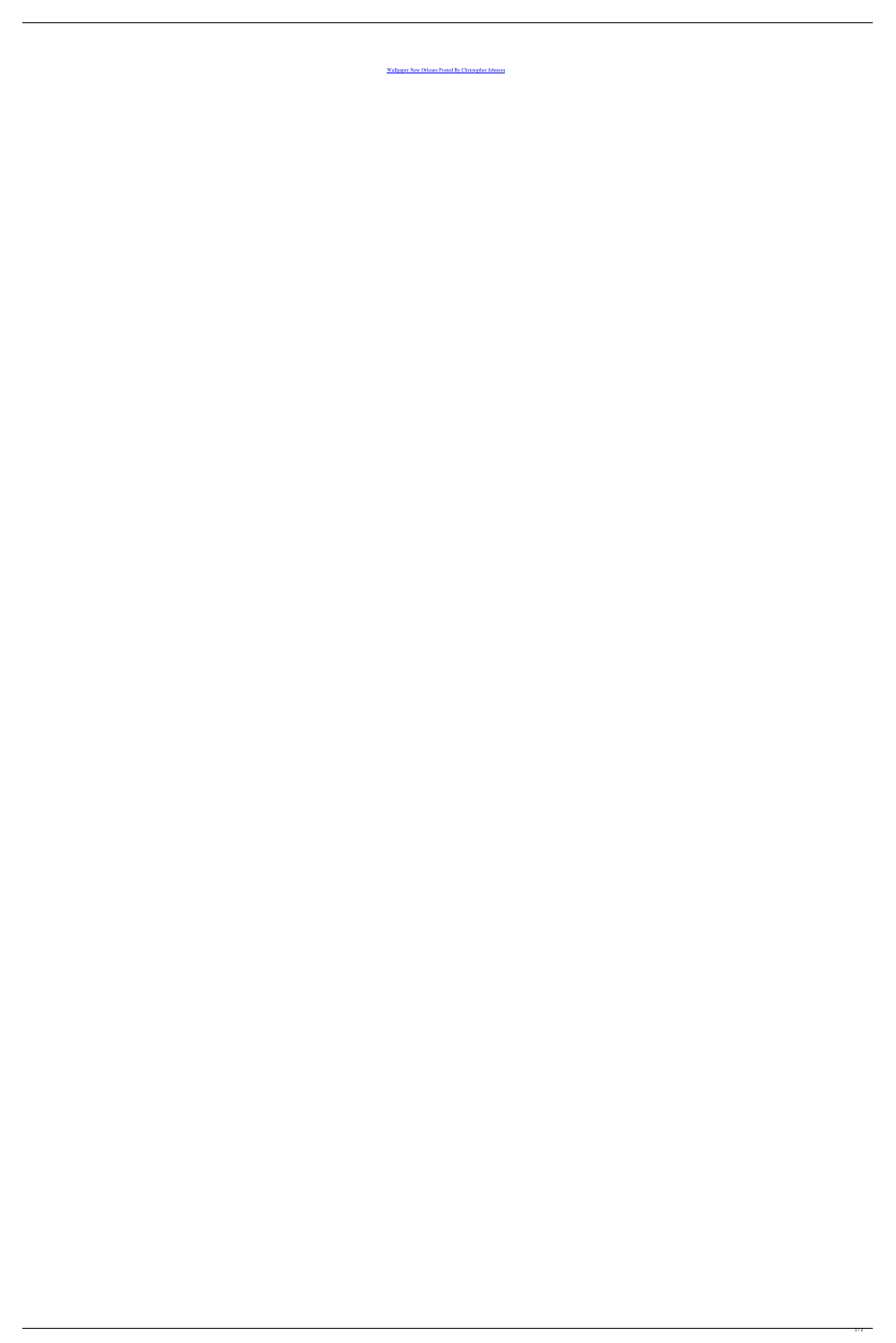[Wallpaper New Orleans Posted By Christopher Johnson](https://byltly.com/25eaxf)